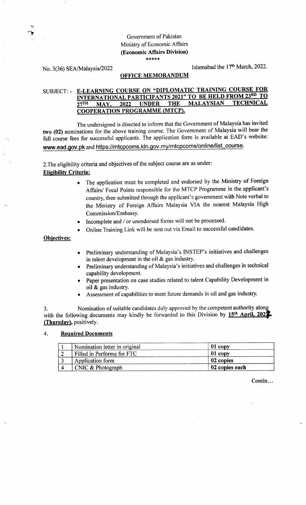# Government of Pakistan Ministry of Economic Affairs (Economic Affairs Division) {.\*X\*\*

:' 't

No. 3(36) SEA/Malaysia/2022 Islamabad the 17<sup>th</sup> March, 2022.

### OFFICE MEMORANDUM

# SUBJECT: - E-LEARNING COURSE ON "DIPLOMATIC TRAINING COURSE FOR<br>INTERNATIONAL PARTICIPANTS 2021" TO BE HELD FROM 23RD TO 27TH MAY, 2022 UNDER THE MALAYSIAN **TECHNICAL** COOPERATION PROGRAMME (MTCP).

The undersigned is directed to inform that the Govemment of Malaysia has invited two (02) nominations for the above training course. The Government of Malaysia will bear the full course fees for successful applicants. The application form is available at EAD's website: www.ead.gov.pk and https://mtcpcoms.kln.gov.my/mtcpcoms/online/list\_course.

2. The eligibility criteria and objectives of the subject course are as under: Elisibilitv Criteria:

- The application must be completed and endorsed by the Ministry of Foreign Affairs/ Focal Points responsible for the MTCP Programme in the applicant's country, then submitted through the applicant's govemment with Note verbal to the Ministry of Foreign Affairs Malaysia VIA the nearest Malaysia High Commission/EmbassY.
- Incomplete and / or unendorsed forms will not be processed.
- Online Training Link will be sent out via Email to successful candidates.

Obiectives:

- Preliminary understanding of Malaysia's INSTEP's initiatives and challenges in talent development in the oil  $\&$  gas industry. o
- Preliminary understanding of Malaysia's initiatives and challenges in technical capability development. a
- Paper presentation on case studies related to talent Capability Development in oil & gas industry. a
- Assessment of capabilities to meet future demands in oil and gas industry. o

3. Nomination of suitable candidates duly approved by the competent authority alonq with the following documents may kindly be forwarded to this Division by 15<sup>th</sup> April. 202<sup>2</sup> (Thursday), positively.

#### 4. Required Documents

| Nomination letter in original | $01$ copy      |
|-------------------------------|----------------|
| Filled in Performa for FTC    | $01$ copy      |
| Application form              | 02 copies      |
| $\vert$ CNIC & Photograph     | 02 copies each |

Contin...